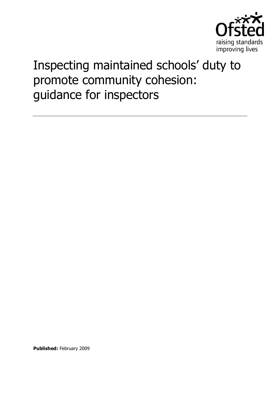

# Inspecting maintained schools' duty to promote community cohesion: guidance for inspectors

**Published:** February 2009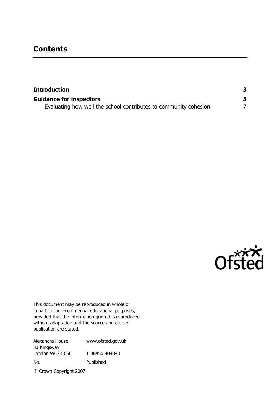## **Contents**

| <b>Introduction</b>                                              |  |
|------------------------------------------------------------------|--|
| <b>Guidance for inspectors</b>                                   |  |
| Evaluating how well the school contributes to community cohesion |  |



This document may be reproduced in whole or in part for non-commercial educational purposes, provided that the information quoted is reproduced without adaptation and the source and date of publication are stated.

| Alexandra House        | www.ofsted.gov.uk |
|------------------------|-------------------|
| 33 Kingsway            |                   |
| London WC2B 6SE        | T 08456 404040    |
| No.                    | Published         |
| © Crown Copyright 2007 |                   |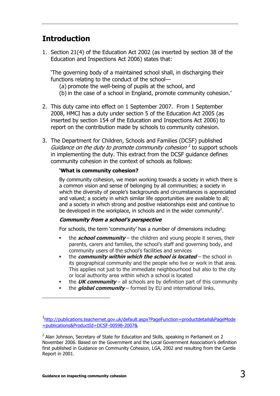## <span id="page-2-0"></span>**Introduction**

1. Section 21(4) of the Education Act 2002 (as inserted by section 38 of the Education and Inspections Act 2006) states that:

'The governing body of a maintained school shall, in discharging their functions relating to the conduct of the school—

- (a) promote the well-being of pupils at the school, and
- (b)in the case of a school in England, promote community cohesion.'
- 2. This duty came into effect on 1 September 2007. From 1 September 2008, HMCI has a duty under section 5 of the Education Act 2005 (as inserted by section 154 of the Education and Inspections Act 2006) to report on the contribution made by schools to community cohesion.
- 3. The Department for Children, Schools and Families (DCSF) published Guidance on the duty to promote community cohesion  $<sup>1</sup>$  to support schools</sup> in implementing the duty. This extract from the DCSF guidance defines community cohesion in the context of schools as follows:

#### **'What is community cohesion?**

By community cohesion, we mean working towards a society in which there is a common vision and sense of belonging by all communities; a society in which the diversity of people's backgrounds and circumstances is appreciated and valued; a society in which similar life opportunities are available to all; and a society in which strong and positive relationships exist and continue to be developed in the workplace, in schools and in the wider community<sup>2</sup>.

#### **Community from a school's perspective**

For schools, the term 'community' has a number of dimensions including:

- the **school community** the children and young people it serves, their parents, carers and families, the school's staff and governing body, and community users of the school's facilities and services
- **the community within which the school is located** the school in its geographical community and the people who live or work in that area. This applies not just to the immediate neighbourhood but also to the city or local authority area within which a school is located
- the **UK community** all schools are by definition part of this community
- the **global community** formed by EU and international links.

-

<sup>1</sup> [http://publications.teachernet.gov.uk/default.aspx?PageFunction=productdetails&PageMode](http://publications.teachernet.gov.uk/default.aspx?PageFunction=productdetails&PageMode=publications&ProductId=DCSF-00598-2007&) [=publications&ProductId=DCSF-00598-2007&](http://publications.teachernet.gov.uk/default.aspx?PageFunction=productdetails&PageMode=publications&ProductId=DCSF-00598-2007&)

 $2$  Alan Johnson, Secretary of State for Education and Skills, speaking in Parliament on 2 November 2006. Based on the Government and the Local Government Association's definition first published in Guidance on Community Cohesion, LGA, 2002 and resulting from the Cantle Report in 2001.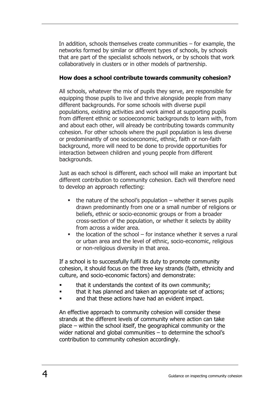In addition, schools themselves create communities  $-$  for example, the networks formed by similar or different types of schools, by schools that are part of the specialist schools network, or by schools that work collaboratively in clusters or in other models of partnership.

#### **How does a school contribute towards community cohesion?**

All schools, whatever the mix of pupils they serve, are responsible for equipping those pupils to live and thrive alongside people from many different backgrounds. For some schools with diverse pupil populations, existing activities and work aimed at supporting pupils from different ethnic or socioeconomic backgrounds to learn with, from and about each other, will already be contributing towards community cohesion. For other schools where the pupil population is less diverse or predominantly of one socioeconomic, ethnic, faith or non-faith background, more will need to be done to provide opportunities for interaction between children and young people from different backgrounds.

Just as each school is different, each school will make an important but different contribution to community cohesion. Each will therefore need to develop an approach reflecting:

- $\blacksquare$  the nature of the school's population whether it serves pupils drawn predominantly from one or a small number of religions or beliefs, ethnic or socio-economic groups or from a broader cross-section of the population, or whether it selects by ability from across a wider area.
- $\blacksquare$  the location of the school for instance whether it serves a rural or urban area and the level of ethnic, socio-economic, religious or non-religious diversity in that area.

If a school is to successfully fulfil its duty to promote community cohesion, it should focus on the three key strands (faith, ethnicity and culture, and socio-economic factors) and demonstrate:

- that it understands the context of its own community;
- that it has planned and taken an appropriate set of actions;
- and that these actions have had an evident impact.

An effective approach to community cohesion will consider these strands at the different levels of community where action can take place – within the school itself, the geographical community or the wider national and global communities – to determine the school's contribution to community cohesion accordingly.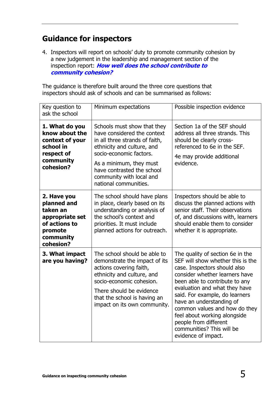# <span id="page-4-0"></span>**Guidance for inspectors**

4. Inspectors will report on schools' duty to promote community cohesion by a new judgement in the leadership and management section of the inspection report: **How well does the school contribute to community cohesion?**

The guidance is therefore built around the three core questions that inspectors should ask of schools and can be summarised as follows:

| Key question to<br>ask the school                                                                               | Minimum expectations                                                                                                                                                                                                                                                | Possible inspection evidence                                                                                                                                                                                                                                                                                                                                                                                           |
|-----------------------------------------------------------------------------------------------------------------|---------------------------------------------------------------------------------------------------------------------------------------------------------------------------------------------------------------------------------------------------------------------|------------------------------------------------------------------------------------------------------------------------------------------------------------------------------------------------------------------------------------------------------------------------------------------------------------------------------------------------------------------------------------------------------------------------|
| 1. What do you<br>know about the<br>context of your<br>school in<br>respect of<br>community<br>cohesion?        | Schools must show that they<br>have considered the context<br>in all three strands of faith,<br>ethnicity and culture, and<br>socio-economic factors.<br>As a minimum, they must<br>have contrasted the school<br>community with local and<br>national communities. | Section 1a of the SEF should<br>address all three strands. This<br>should be clearly cross-<br>referenced to 6e in the SEF.<br>4e may provide additional<br>evidence.                                                                                                                                                                                                                                                  |
| 2. Have you<br>planned and<br>taken an<br>appropriate set<br>of actions to<br>promote<br>community<br>cohesion? | The school should have plans<br>in place, clearly based on its<br>understanding or analysis of<br>the school's context and<br>priorities. It must include<br>planned actions for outreach.                                                                          | Inspectors should be able to<br>discuss the planned actions with<br>senior staff. Their observations<br>of, and discussions with, learners<br>should enable them to consider<br>whether it is appropriate.                                                                                                                                                                                                             |
| 3. What impact<br>are you having?                                                                               | The school should be able to<br>demonstrate the impact of its<br>actions covering faith,<br>ethnicity and culture, and<br>socio-economic cohesion.<br>There should be evidence<br>that the school is having an<br>impact on its own community.                      | The quality of section 6e in the<br>SEF will show whether this is the<br>case. Inspectors should also<br>consider whether learners have<br>been able to contribute to any<br>evaluation and what they have<br>said. For example, do learners<br>have an understanding of<br>common values and how do they<br>feel about working alongside<br>people from different<br>communities? This will be<br>evidence of impact. |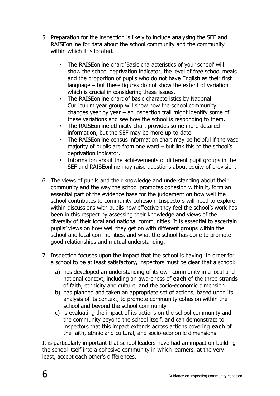- 5. Preparation for the inspection is likely to include analysing the SEF and RAISEonline for data about the school community and the community within which it is located.
	- The RAISEonline chart 'Basic characteristics of your school' will show the school deprivation indicator, the level of free school meals and the proportion of pupils who do not have English as their first language – but these figures do not show the extent of variation which is crucial in considering these issues.
	- The RAISEonline chart of basic characteristics by National Curriculum year group will show how the school community changes year by year  $-$  an inspection trail might identify some of these variations and see how the school is responding to them.
	- The RAISEonline ethnicity chart provides some more detailed information, but the SEF may be more up-to-date.
	- The RAISEonline census information chart may be helpful if the vast majority of pupils are from one ward – but link this to the school's deprivation indicator.
	- Information about the achievements of different pupil groups in the SEF and RAISEonline may raise questions about equity of provision.
- 6. The views of pupils and their knowledge and understanding about their community and the way the school promotes cohesion within it, form an essential part of the evidence base for the judgement on how well the school contributes to community cohesion. Inspectors will need to explore within discussions with pupils how effective they feel the school's work has been in this respect by assessing their knowledge and views of the diversity of their local and national communities. It is essential to ascertain pupils' views on how well they get on with different groups within the school and local communities, and what the school has done to promote good relationships and mutual understanding.
- 7. Inspection focuses upon the impact that the school is having. In order for a school to be at least satisfactory, inspectors must be clear that a school:
	- a) has developed an understanding of its own community in a local and national context, including an awareness of **each** of the three strands of faith, ethnicity and culture, and the socio-economic dimension
	- b) has planned and taken an appropriate set of actions, based upon its analysis of its context, to promote community cohesion within the school and beyond the school community
	- c) is evaluating the impact of its actions on the school community and the community beyond the school itself, and can demonstrate to inspectors that this impact extends across actions covering **each** of the faith, ethnic and cultural, and socio-economic dimensions

It is particularly important that school leaders have had an impact on building the school itself into a cohesive community in which learners, at the very least, accept each other's differences.